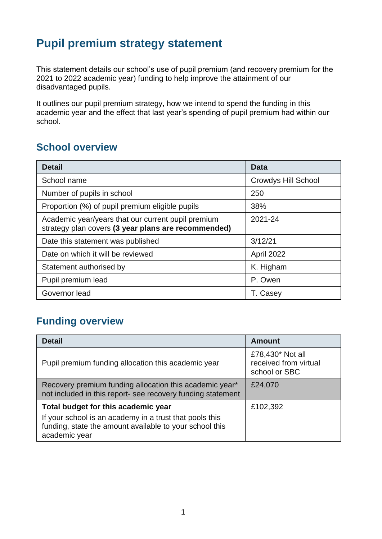# **Pupil premium strategy statement**

This statement details our school's use of pupil premium (and recovery premium for the 2021 to 2022 academic year) funding to help improve the attainment of our disadvantaged pupils.

It outlines our pupil premium strategy, how we intend to spend the funding in this academic year and the effect that last year's spending of pupil premium had within our school.

### **School overview**

| <b>Detail</b>                                                                                             | Data                       |
|-----------------------------------------------------------------------------------------------------------|----------------------------|
| School name                                                                                               | <b>Crowdys Hill School</b> |
| Number of pupils in school                                                                                | 250                        |
| Proportion (%) of pupil premium eligible pupils                                                           | 38%                        |
| Academic year/years that our current pupil premium<br>strategy plan covers (3 year plans are recommended) | 2021-24                    |
| Date this statement was published                                                                         | 3/12/21                    |
| Date on which it will be reviewed                                                                         | April 2022                 |
| Statement authorised by                                                                                   | K. Higham                  |
| Pupil premium lead                                                                                        | P. Owen                    |
| Governor lead                                                                                             | T. Casey                   |

## **Funding overview**

| <b>Detail</b>                                                                                                                                                              | <b>Amount</b>                                              |
|----------------------------------------------------------------------------------------------------------------------------------------------------------------------------|------------------------------------------------------------|
| Pupil premium funding allocation this academic year                                                                                                                        | £78,430* Not all<br>received from virtual<br>school or SBC |
| Recovery premium funding allocation this academic year*<br>not included in this report- see recovery funding statement                                                     | £24,070                                                    |
| Total budget for this academic year<br>If your school is an academy in a trust that pools this<br>funding, state the amount available to your school this<br>academic year | £102,392                                                   |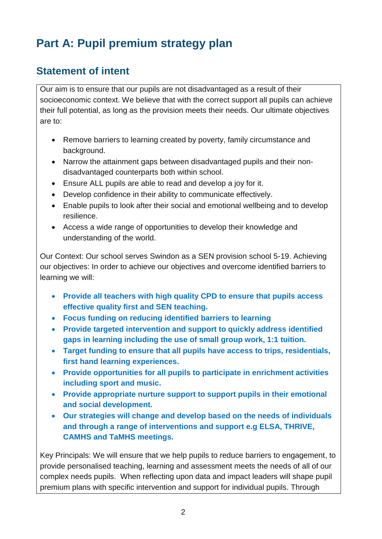# **Part A: Pupil premium strategy plan**

## **Statement of intent**

Our aim is to ensure that our pupils are not disadvantaged as a result of their socioeconomic context. We believe that with the correct support all pupils can achieve their full potential, as long as the provision meets their needs. Our ultimate objectives are to:

- Remove barriers to learning created by poverty, family circumstance and background.
- Narrow the attainment gaps between disadvantaged pupils and their nondisadvantaged counterparts both within school.
- Ensure ALL pupils are able to read and develop a joy for it.
- Develop confidence in their ability to communicate effectively.
- Enable pupils to look after their social and emotional wellbeing and to develop resilience.
- Access a wide range of opportunities to develop their knowledge and understanding of the world.

Our Context: Our school serves Swindon as a SEN provision school 5-19. Achieving our objectives: In order to achieve our objectives and overcome identified barriers to learning we will:

- **Provide all teachers with high quality CPD to ensure that pupils access effective quality first and SEN teaching.**
- **Focus funding on reducing identified barriers to learning**
- **Provide targeted intervention and support to quickly address identified gaps in learning including the use of small group work, 1:1 tuition.**
- **Target funding to ensure that all pupils have access to trips, residentials, first hand learning experiences.**
- **Provide opportunities for all pupils to participate in enrichment activities including sport and music.**
- **Provide appropriate nurture support to support pupils in their emotional and social development.**
- **Our strategies will change and develop based on the needs of individuals and through a range of interventions and support e.g ELSA, THRIVE, CAMHS and TaMHS meetings.**

Key Principals: We will ensure that we help pupils to reduce barriers to engagement, to provide personalised teaching, learning and assessment meets the needs of all of our complex needs pupils. When reflecting upon data and impact leaders will shape pupil premium plans with specific intervention and support for individual pupils. Through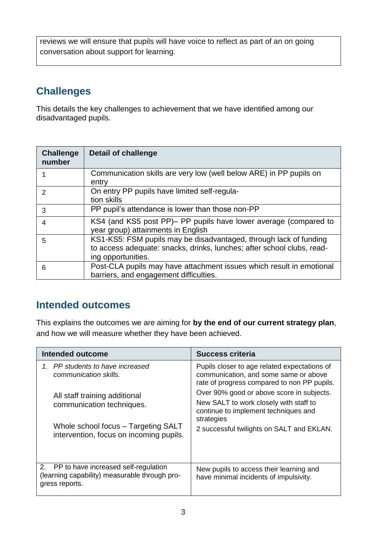reviews we will ensure that pupils will have voice to reflect as part of an on going conversation about support for learning.

## **Challenges**

This details the key challenges to achievement that we have identified among our disadvantaged pupils.

| <b>Challenge</b><br>number | <b>Detail of challenge</b>                                                                                                                                        |
|----------------------------|-------------------------------------------------------------------------------------------------------------------------------------------------------------------|
|                            | Communication skills are very low (well below ARE) in PP pupils on<br>entry                                                                                       |
| $\mathcal{P}$              | On entry PP pupils have limited self-regula-<br>tion skills                                                                                                       |
| 3                          | PP pupil's attendance is lower than those non-PP                                                                                                                  |
| 4                          | KS4 (and KS5 post PP)– PP pupils have lower average (compared to<br>year group) attainments in English                                                            |
| 5                          | KS1-KS5: FSM pupils may be disadvantaged, through lack of funding<br>to access adequate: snacks, drinks, lunches; after school clubs, read-<br>ing opportunities. |
| 6                          | Post-CLA pupils may have attachment issues which result in emotional<br>barriers, and engagement difficulties.                                                    |

### **Intended outcomes**

This explains the outcomes we are aiming for **by the end of our current strategy plan**, and how we will measure whether they have been achieved.

| <b>Intended outcome</b>                                                                                                                                                                                   | <b>Success criteria</b>                                                                                                                                                                                                                                                                                                        |
|-----------------------------------------------------------------------------------------------------------------------------------------------------------------------------------------------------------|--------------------------------------------------------------------------------------------------------------------------------------------------------------------------------------------------------------------------------------------------------------------------------------------------------------------------------|
| 1. PP students to have increased<br>communication skills.<br>All staff training additional<br>communication techniques.<br>Whole school focus – Targeting SALT<br>intervention, focus on incoming pupils. | Pupils closer to age related expectations of<br>communication, and some same or above<br>rate of progress compared to non PP pupils.<br>Over 90% good or above score in subjects.<br>New SALT to work closely with staff to<br>continue to implement techniques and<br>strategies<br>2 successful twilights on SALT and EKLAN. |
| 2.<br>PP to have increased self-regulation<br>(learning capability) measurable through pro-<br>gress reports.                                                                                             | New pupils to access their learning and<br>have minimal incidents of impulsivity.                                                                                                                                                                                                                                              |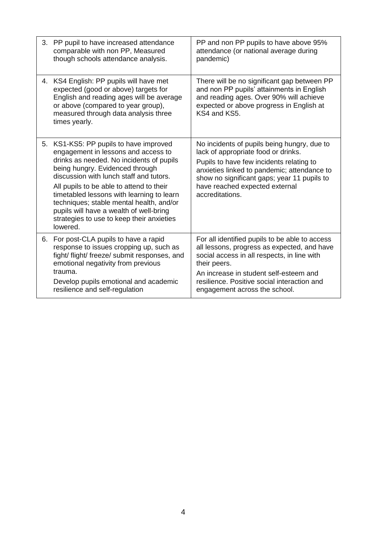| 3. | PP pupil to have increased attendance<br>comparable with non PP, Measured<br>though schools attendance analysis.                                                                                                                                                                                                                                                                                                                              | PP and non PP pupils to have above 95%<br>attendance (or national average during<br>pandemic)                                                                                                                                                                                          |
|----|-----------------------------------------------------------------------------------------------------------------------------------------------------------------------------------------------------------------------------------------------------------------------------------------------------------------------------------------------------------------------------------------------------------------------------------------------|----------------------------------------------------------------------------------------------------------------------------------------------------------------------------------------------------------------------------------------------------------------------------------------|
| 4. | KS4 English: PP pupils will have met<br>expected (good or above) targets for<br>English and reading ages will be average<br>or above (compared to year group),<br>measured through data analysis three<br>times yearly.                                                                                                                                                                                                                       | There will be no significant gap between PP<br>and non PP pupils' attainments in English<br>and reading ages. Over 90% will achieve<br>expected or above progress in English at<br>KS4 and KS5.                                                                                        |
| 5. | KS1-KS5: PP pupils to have improved<br>engagement in lessons and access to<br>drinks as needed. No incidents of pupils<br>being hungry. Evidenced through<br>discussion with lunch staff and tutors.<br>All pupils to be able to attend to their<br>timetabled lessons with learning to learn<br>techniques; stable mental health, and/or<br>pupils will have a wealth of well-bring<br>strategies to use to keep their anxieties<br>lowered. | No incidents of pupils being hungry, due to<br>lack of appropriate food or drinks.<br>Pupils to have few incidents relating to<br>anxieties linked to pandemic; attendance to<br>show no significant gaps; year 11 pupils to<br>have reached expected external<br>accreditations.      |
| 6. | For post-CLA pupils to have a rapid<br>response to issues cropping up, such as<br>fight/ flight/ freeze/ submit responses, and<br>emotional negativity from previous<br>trauma.<br>Develop pupils emotional and academic<br>resilience and self-regulation                                                                                                                                                                                    | For all identified pupils to be able to access<br>all lessons, progress as expected, and have<br>social access in all respects, in line with<br>their peers.<br>An increase in student self-esteem and<br>resilience. Positive social interaction and<br>engagement across the school. |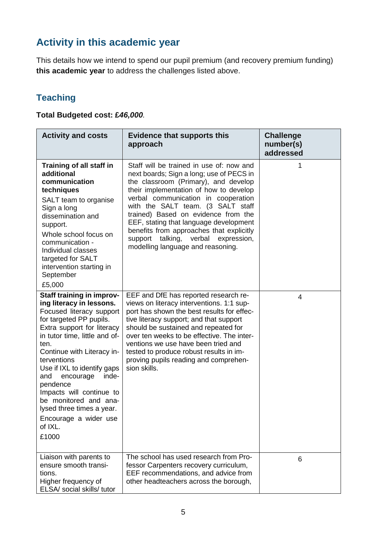# **Activity in this academic year**

This details how we intend to spend our pupil premium (and recovery premium funding) **this academic year** to address the challenges listed above.

## **Teaching**

**Total Budgeted cost: £***46,000.* 

| <b>Activity and costs</b>                                                                                                                                                                                                                                                                                                                                                                                                               | <b>Evidence that supports this</b><br>approach                                                                                                                                                                                                                                                                                                                                                                                                                    | <b>Challenge</b><br>number(s)<br>addressed |
|-----------------------------------------------------------------------------------------------------------------------------------------------------------------------------------------------------------------------------------------------------------------------------------------------------------------------------------------------------------------------------------------------------------------------------------------|-------------------------------------------------------------------------------------------------------------------------------------------------------------------------------------------------------------------------------------------------------------------------------------------------------------------------------------------------------------------------------------------------------------------------------------------------------------------|--------------------------------------------|
| Training of all staff in<br>additional<br>communication<br>techniques<br>SALT team to organise<br>Sign a long<br>dissemination and<br>support.<br>Whole school focus on<br>communication -<br>Individual classes<br>targeted for SALT<br>intervention starting in<br>September<br>£5,000                                                                                                                                                | Staff will be trained in use of: now and<br>next boards; Sign a long; use of PECS in<br>the classroom (Primary), and develop<br>their implementation of how to develop<br>verbal communication in cooperation<br>with the SALT team. (3 SALT staff<br>trained) Based on evidence from the<br>EEF, stating that language development<br>benefits from approaches that explicitly<br>talking,<br>verbal expression,<br>support<br>modelling language and reasoning. | 1                                          |
| Staff training in improv-<br>ing literacy in lessons.<br>Focused literacy support<br>for targeted PP pupils.<br>Extra support for literacy<br>in tutor time, little and of-<br>ten.<br>Continue with Literacy in-<br>terventions<br>Use if IXL to identify gaps<br>inde-<br>and<br>encourage<br>pendence<br>Impacts will continue to<br>be monitored and ana-<br>lysed three times a year.<br>Encourage a wider use<br>of IXL.<br>£1000 | EEF and DfE has reported research re-<br>views on literacy interventions. 1:1 sup-<br>port has shown the best results for effec-<br>tive literacy support; and that support<br>should be sustained and repeated for<br>over ten weeks to be effective. The inter-<br>ventions we use have been tried and<br>tested to produce robust results in im-<br>proving pupils reading and comprehen-<br>sion skills.                                                      | 4                                          |
| Liaison with parents to<br>ensure smooth transi-<br>tions.<br>Higher frequency of<br>ELSA/ social skills/ tutor                                                                                                                                                                                                                                                                                                                         | The school has used research from Pro-<br>fessor Carpenters recovery curriculum,<br>EEF recommendations, and advice from<br>other headteachers across the borough,                                                                                                                                                                                                                                                                                                | 6                                          |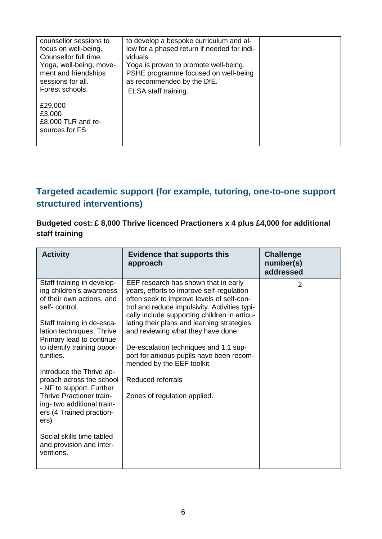| counsellor sessions to<br>focus on well-being.<br>Counsellor full time.<br>Yoga, well-being, move-<br>ment and friendships<br>sessions for all.<br>Forest schools. | to develop a bespoke curriculum and al-<br>low for a phased return if needed for indi-<br>viduals.<br>Yoga is proven to promote well-being.<br>PSHE programme focused on well-being<br>as recommended by the DfE.<br>ELSA staff training. |  |
|--------------------------------------------------------------------------------------------------------------------------------------------------------------------|-------------------------------------------------------------------------------------------------------------------------------------------------------------------------------------------------------------------------------------------|--|
| £29,000<br>£3,000<br>£8,000 TLR and re-<br>sources for FS                                                                                                          |                                                                                                                                                                                                                                           |  |

### **Targeted academic support (for example, tutoring, one-to-one support structured interventions)**

### **Budgeted cost: £ 8,000 Thrive licenced Practioners x 4 plus £4,000 for additional staff training**

| <b>Activity</b>                                                                                      | <b>Evidence that supports this</b><br>approach                                                                                                                                                                                  | <b>Challenge</b><br>number(s)<br>addressed |
|------------------------------------------------------------------------------------------------------|---------------------------------------------------------------------------------------------------------------------------------------------------------------------------------------------------------------------------------|--------------------------------------------|
| Staff training in develop-<br>ing children's awareness<br>of their own actions, and<br>self-control. | EEF research has shown that in early<br>years, efforts to improve self-regulation<br>often seek to improve levels of self-con-<br>trol and reduce impulsivity. Activities typi-<br>cally include supporting children in articu- | 2                                          |
| Staff training in de-esca-<br>lation techniques, Thrive<br>Primary lead to continue                  | lating their plans and learning strategies<br>and reviewing what they have done.                                                                                                                                                |                                            |
| to identify training oppor-<br>tunities.                                                             | De-escalation techniques and 1:1 sup-<br>port for anxious pupils have been recom-<br>mended by the EEF toolkit.                                                                                                                 |                                            |
| Introduce the Thrive ap-<br>proach across the school<br>- NF to support. Further                     | Reduced referrals                                                                                                                                                                                                               |                                            |
| Thrive Practioner train-<br>ing-two additional train-<br>ers (4 Trained praction-<br>ers)            | Zones of regulation applied.                                                                                                                                                                                                    |                                            |
| Social skills time tabled<br>and provision and inter-<br>ventions.                                   |                                                                                                                                                                                                                                 |                                            |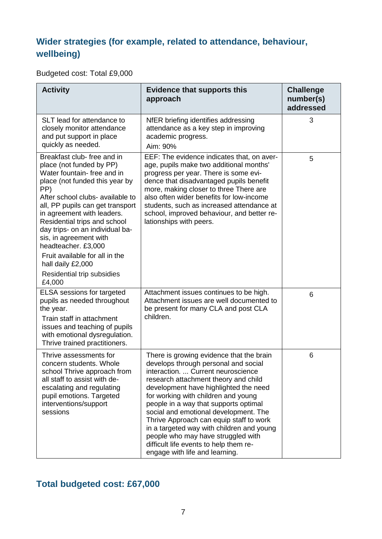## **Wider strategies (for example, related to attendance, behaviour, wellbeing)**

### Budgeted cost: Total £9,000

| <b>Activity</b>                                                                                                                                                                                                                                                                                                                                                                                                                                         | <b>Evidence that supports this</b><br>approach                                                                                                                                                                                                                                                                                                                                                                                                                                                                                             | <b>Challenge</b><br>number(s)<br>addressed |
|---------------------------------------------------------------------------------------------------------------------------------------------------------------------------------------------------------------------------------------------------------------------------------------------------------------------------------------------------------------------------------------------------------------------------------------------------------|--------------------------------------------------------------------------------------------------------------------------------------------------------------------------------------------------------------------------------------------------------------------------------------------------------------------------------------------------------------------------------------------------------------------------------------------------------------------------------------------------------------------------------------------|--------------------------------------------|
| SLT lead for attendance to<br>closely monitor attendance<br>and put support in place<br>quickly as needed.                                                                                                                                                                                                                                                                                                                                              | NfER briefing identifies addressing<br>attendance as a key step in improving<br>academic progress.<br>Aim: 90%                                                                                                                                                                                                                                                                                                                                                                                                                             | 3                                          |
| Breakfast club-free and in<br>place (not funded by PP)<br>Water fountain- free and in<br>place (not funded this year by<br>PP)<br>After school clubs- available to<br>all, PP pupils can get transport<br>in agreement with leaders.<br>Residential trips and school<br>day trips- on an individual ba-<br>sis, in agreement with<br>headteacher. £3,000<br>Fruit available for all in the<br>hall daily £2,000<br>Residential trip subsidies<br>£4,000 | EEF: The evidence indicates that, on aver-<br>age, pupils make two additional months'<br>progress per year. There is some evi-<br>dence that disadvantaged pupils benefit<br>more, making closer to three There are<br>also often wider benefits for low-income<br>students, such as increased attendance at<br>school, improved behaviour, and better re-<br>lationships with peers.                                                                                                                                                      | 5                                          |
| <b>ELSA</b> sessions for targeted<br>pupils as needed throughout<br>the year.<br>Train staff in attachment<br>issues and teaching of pupils<br>with emotional dysregulation.<br>Thrive trained practitioners.                                                                                                                                                                                                                                           | Attachment issues continues to be high.<br>Attachment issues are well documented to<br>be present for many CLA and post CLA<br>children.                                                                                                                                                                                                                                                                                                                                                                                                   | 6                                          |
| Thrive assessments for<br>concern students. Whole<br>school Thrive approach from<br>all staff to assist with de-<br>escalating and regulating<br>pupil emotions. Targeted<br>interventions/support<br>sessions                                                                                                                                                                                                                                          | There is growing evidence that the brain<br>develops through personal and social<br>interaction.  Current neuroscience<br>research attachment theory and child<br>development have highlighted the need<br>for working with children and young<br>people in a way that supports optimal<br>social and emotional development. The<br>Thrive Approach can equip staff to work<br>in a targeted way with children and young<br>people who may have struggled with<br>difficult life events to help them re-<br>engage with life and learning. | 6                                          |

## **Total budgeted cost: £67,000**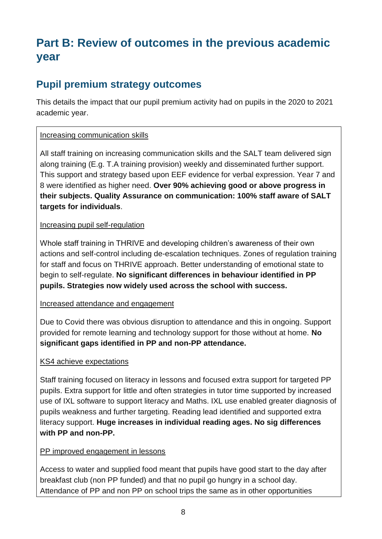# **Part B: Review of outcomes in the previous academic year**

## **Pupil premium strategy outcomes**

This details the impact that our pupil premium activity had on pupils in the 2020 to 2021 academic year.

### Increasing communication skills

All staff training on increasing communication skills and the SALT team delivered sign along training (E.g. T.A training provision) weekly and disseminated further support. This support and strategy based upon EEF evidence for verbal expression. Year 7 and 8 were identified as higher need. **Over 90% achieving good or above progress in their subjects. Quality Assurance on communication: 100% staff aware of SALT targets for individuals**.

### Increasing pupil self-regulation

Whole staff training in THRIVE and developing children's awareness of their own actions and self-control including de-escalation techniques. Zones of regulation training for staff and focus on THRIVE approach. Better understanding of emotional state to begin to self-regulate. **No significant differences in behaviour identified in PP pupils. Strategies now widely used across the school with success.**

#### Increased attendance and engagement

Due to Covid there was obvious disruption to attendance and this in ongoing. Support provided for remote learning and technology support for those without at home. **No significant gaps identified in PP and non-PP attendance.**

### KS4 achieve expectations

Staff training focused on literacy in lessons and focused extra support for targeted PP pupils. Extra support for little and often strategies in tutor time supported by increased use of IXL software to support literacy and Maths. IXL use enabled greater diagnosis of pupils weakness and further targeting. Reading lead identified and supported extra literacy support. **Huge increases in individual reading ages. No sig differences with PP and non-PP.**

### PP improved engagement in lessons

Access to water and supplied food meant that pupils have good start to the day after breakfast club (non PP funded) and that no pupil go hungry in a school day. Attendance of PP and non PP on school trips the same as in other opportunities